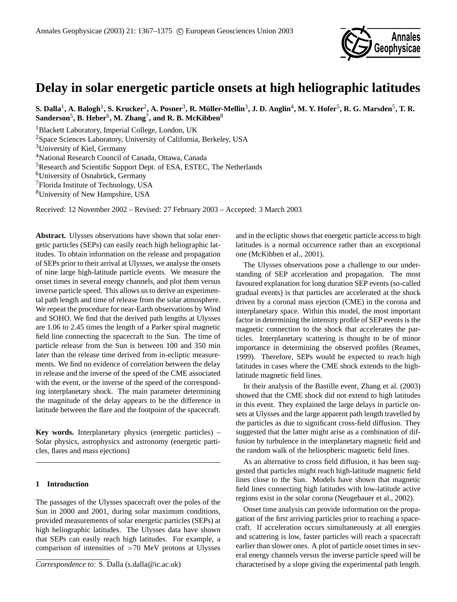

# **Delay in solar energetic particle onsets at high heliographic latitudes**

 $S$ . Dalla<sup>1</sup>, A. Balogh<sup>1</sup>, S. Krucker<sup>2</sup>, A. Posner<sup>3</sup>, R. Müller-Mellin<sup>3</sup>, J. D. Anglin<sup>4</sup>, M. Y. Hofer<sup>5</sup>, R. G. Marsden<sup>5</sup>, T. R.  $\mathbf{S}$ anderson $^5$ ,  $\mathbf{B}.$  Heber $^6$ , M. Zhang $^7$ , and R. B. McKibben $^8$ 

<sup>1</sup>Blackett Laboratory, Imperial College, London, UK

<sup>2</sup>Space Sciences Laboratory, University of California, Berkeley, USA

<sup>3</sup>University of Kiel, Germany

<sup>4</sup>National Research Council of Canada, Ottawa, Canada

<sup>5</sup>Research and Scientific Support Dept. of ESA, ESTEC, The Netherlands

 $6$ University of Osnabrück, Germany

<sup>7</sup>Florida Institute of Technology, USA

<sup>8</sup>University of New Hampshire, USA

Received: 12 November 2002 – Revised: 27 February 2003 – Accepted: 3 March 2003

**Abstract.** Ulysses observations have shown that solar energetic particles (SEPs) can easily reach high heliographic latitudes. To obtain information on the release and propagation of SEPs prior to their arrival at Ulysses, we analyse the onsets of nine large high-latitude particle events. We measure the onset times in several energy channels, and plot them versus inverse particle speed. This allows us to derive an experimental path length and time of release from the solar atmosphere. We repeat the procedure for near-Earth observations by Wind and SOHO. We find that the derived path lengths at Ulysses are 1.06 to 2.45 times the length of a Parker spiral magnetic field line connecting the spacecraft to the Sun. The time of particle release from the Sun is between 100 and 350 min later than the release time derived from in-ecliptic measurements. We find no evidence of correlation between the delay in release and the inverse of the speed of the CME associated with the event, or the inverse of the speed of the corresponding interplanetary shock. The main parameter determining the magnitude of the delay appears to be the difference in latitude between the flare and the footpoint of the spacecraft.

**Key words.** Interplanetary physics (energetic particles) – Solar physics, astrophysics and astronomy (energetic particles, flares and mass ejections)

## **1 Introduction**

The passages of the Ulysses spacecraft over the poles of the Sun in 2000 and 2001, during solar maximum conditions, provided measurements of solar energetic particles (SEPs) at high heliographic latitudes. The Ulysses data have shown that SEPs can easily reach high latitudes. For example, a comparison of intensities of  $>70$  MeV protons at Ulysses

and in the ecliptic shows that energetic particle access to high latitudes is a normal occurrence rather than an exceptional one (McKibben et al., 2001).

The Ulysses observations pose a challenge to our understanding of SEP acceleration and propagation. The most favoured explanation for long duration SEP events (so-called gradual events) is that particles are accelerated at the shock driven by a coronal mass ejection (CME) in the corona and interplanetary space. Within this model, the most important factor in determining the intensity profile of SEP events is the magnetic connection to the shock that accelerates the particles. Interplanetary scattering is thought to be of minor importance in determining the observed profiles (Reames, 1999). Therefore, SEPs would be expected to reach high latitudes in cases where the CME shock extends to the highlatitude magnetic field lines.

In their analysis of the Bastille event, Zhang et al. (2003) showed that the CME shock did not extend to high latitudes in this event. They explained the large delays in particle onsets at Ulysses and the large apparent path length travelled by the particles as due to significant cross-field diffusion. They suggested that the latter might arise as a combination of diffusion by turbulence in the interplanetary magnetic field and the random walk of the heliospheric magnetic field lines.

As an alternative to cross field diffusion, it has been suggested that particles might reach high-latitude magnetic field lines close to the Sun. Models have shown that magnetic field lines connecting high latitudes with low-latitude active regions exist in the solar corona (Neugebauer et al., 2002).

Onset time analysis can provide information on the propagation of the first arriving particles prior to reaching a spacecraft. If acceleration occurs simultaneously at all energies and scattering is low, faster particles will reach a spacecraft earlier than slower ones. A plot of particle onset times in several energy channels versus the inverse particle speed will be characterised by a slope giving the experimental path length.

*Correspondence to:* S. Dalla (s.dalla@ic.ac.uk)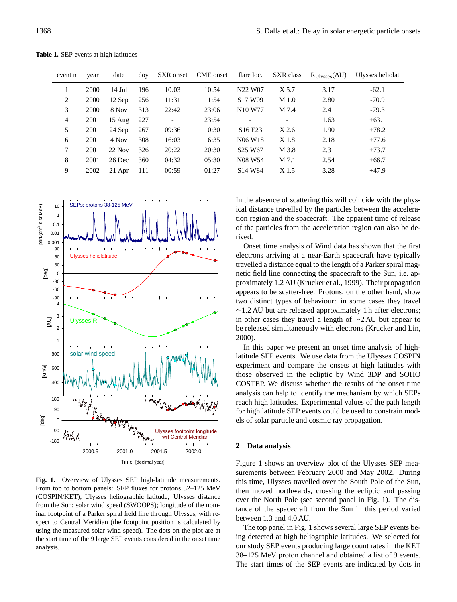| event n | year | date             | dov | SXR onset | CME onset | flare loc.                       | SXR class                | $R_{Ulysses}(AU)$ | Ulysses heliolat |
|---------|------|------------------|-----|-----------|-----------|----------------------------------|--------------------------|-------------------|------------------|
|         | 2000 | $14$ Jul         | 196 | 10:03     | 10:54     | N22 W07                          | X 5.7                    | 3.17              | $-62.1$          |
| 2       | 2000 | $12$ Sep         | 256 | 11:31     | 11:54     | S <sub>17</sub> W <sub>09</sub>  | M <sub>1.0</sub>         | 2.80              | $-70.9$          |
| 3       | 2000 | 8 Nov            | 313 | 22:42     | 23:06     | N <sub>10</sub> W <sub>77</sub>  | M 7.4                    | 2.41              | $-79.3$          |
| 4       | 2001 | $15 \text{ Aug}$ | 227 |           | 23:54     |                                  | $\overline{\phantom{a}}$ | 1.63              | $+63.1$          |
| 5       | 2001 | 24 Sep           | 267 | 09:36     | 10:30     | S <sub>16</sub> E <sub>23</sub>  | X2.6                     | 1.90              | $+78.2$          |
| 6       | 2001 | 4 Nov            | 308 | 16:03     | 16:35     | N <sub>06</sub> W <sub>18</sub>  | X 1.8                    | 2.18              | $+77.6$          |
| 7       | 2001 | $22$ Nov         | 326 | 20:22     | 20:30     | S <sub>25</sub> W <sub>67</sub>  | M 3.8                    | 2.31              | $+73.7$          |
| 8       | 2001 | 26 Dec           | 360 | 04:32     | 05:30     | N <sub>0</sub> 8 W <sub>54</sub> | M 7.1                    | 2.54              | $+66.7$          |
| 9       | 2002 | $21$ Apr         | 111 | 00:59     | 01:27     | S <sub>14</sub> W <sub>84</sub>  | X 1.5                    | 3.28              | $+47.9$          |
|         |      |                  |     |           |           |                                  |                          |                   |                  |

**Table 1.** SEP events at high latitudes



**Fig. 1.** Overview of Ulysses SEP high-latitude measurements. From top to bottom panels: SEP fluxes for protons 32–125 MeV (COSPIN/KET); Ulysses heliographic latitude; Ulysses distance from the Sun; solar wind speed (SWOOPS); longitude of the nominal footpoint of a Parker spiral field line through Ulysses, with respect to Central Meridian (the footpoint position is calculated by using the measured solar wind speed). The dots on the plot are at the start time of the 9 large SEP events considered in the onset time analysis.

In the absence of scattering this will coincide with the physical distance travelled by the particles between the acceleration region and the spacecraft. The apparent time of release of the particles from the acceleration region can also be derived.

Onset time analysis of Wind data has shown that the first electrons arriving at a near-Earth spacecraft have typically travelled a distance equal to the length of a Parker spiral magnetic field line connecting the spacecraft to the Sun, i.e. approximately 1.2 AU (Krucker et al., 1999). Their propagation appears to be scatter-free. Protons, on the other hand, show two distinct types of behaviour: in some cases they travel ∼1.2 AU but are released approximately 1 h after electrons; in other cases they travel a length of ∼2 AU but appear to be released simultaneously with electrons (Krucker and Lin, 2000).

In this paper we present an onset time analysis of highlatitude SEP events. We use data from the Ulysses COSPIN experiment and compare the onsets at high latitudes with those observed in the ecliptic by Wind 3DP and SOHO COSTEP. We discuss whether the results of the onset time analysis can help to identify the mechanism by which SEPs reach high latitudes. Experimental values of the path length for high latitude SEP events could be used to constrain models of solar particle and cosmic ray propagation.

## **2 Data analysis**

Figure 1 shows an overview plot of the Ulysses SEP measurements between February 2000 and May 2002. During this time, Ulysses travelled over the South Pole of the Sun, then moved northwards, crossing the ecliptic and passing over the North Pole (see second panel in Fig. 1). The distance of the spacecraft from the Sun in this period varied between 1.3 and 4.0 AU.

The top panel in Fig. 1 shows several large SEP events being detected at high heliographic latitudes. We selected for our study SEP events producing large count rates in the KET 38–125 MeV proton channel and obtained a list of 9 events. The start times of the SEP events are indicated by dots in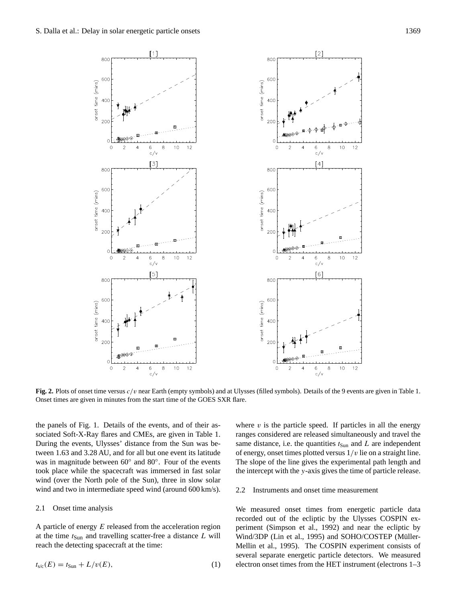800

 $[1]$ 



800

**Fig. 2.** Plots of onset time versus c/v near Earth (empty symbols) and at Ulysses (filled symbols). Details of the 9 events are given in Table 1. Onset times are given in minutes from the start time of the GOES SXR flare.

the panels of Fig. 1. Details of the events, and of their associated Soft-X-Ray flares and CMEs, are given in Table 1. During the events, Ulysses' distance from the Sun was between 1.63 and 3.28 AU, and for all but one event its latitude was in magnitude between 60° and 80°. Four of the events took place while the spacecraft was immersed in fast solar wind (over the North pole of the Sun), three in slow solar wind and two in intermediate speed wind (around 600 km/s).

#### 2.1 Onset time analysis

A particle of energy  $E$  released from the acceleration region at the time  $t_{Sun}$  and travelling scatter-free a distance  $L$  will reach the detecting spacecraft at the time:

$$
t_{\rm s/c}(E) = t_{\rm Sun} + L/v(E),\tag{1}
$$

where  $v$  is the particle speed. If particles in all the energy ranges considered are released simultaneously and travel the same distance, i.e. the quantities  $t_{Sun}$  and  $L$  are independent of energy, onset times plotted versus  $1/v$  lie on a straight line. The slope of the line gives the experimental path length and the intercept with the y-axis gives the time of particle release.

### 2.2 Instruments and onset time measurement

We measured onset times from energetic particle data recorded out of the ecliptic by the Ulysses COSPIN experiment (Simpson et al., 1992) and near the ecliptic by Wind/3DP (Lin et al., 1995) and SOHO/COSTEP (Müller-Mellin et al., 1995). The COSPIN experiment consists of several separate energetic particle detectors. We measured electron onset times from the HET instrument (electrons 1–3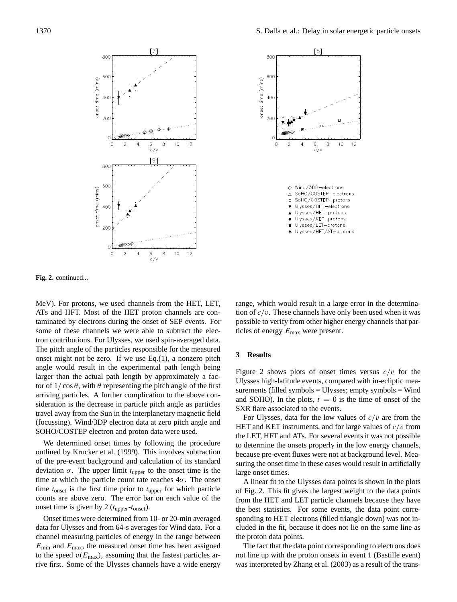



**Fig. 2.** continued...

MeV). For protons, we used channels from the HET, LET, ATs and HFT. Most of the HET proton channels are contaminated by electrons during the onset of SEP events. For some of these channels we were able to subtract the electron contributions. For Ulysses, we used spin-averaged data. The pitch angle of the particles responsible for the measured onset might not be zero. If we use Eq.(1), a nonzero pitch angle would result in the experimental path length being larger than the actual path length by approximately a factor of  $1/\cos\theta$ , with  $\theta$  representing the pitch angle of the first arriving particles. A further complication to the above consideration is the decrease in particle pitch angle as particles travel away from the Sun in the interplanetary magnetic field (focussing). Wind/3DP electron data at zero pitch angle and SOHO/COSTEP electron and proton data were used.

We determined onset times by following the procedure outlined by Krucker et al. (1999). This involves subtraction of the pre-event background and calculation of its standard deviation  $\sigma$ . The upper limit  $t_{\text{upper}}$  to the onset time is the time at which the particle count rate reaches  $4\sigma$ . The onset time  $t_{\text{onset}}$  is the first time prior to  $t_{\text{upper}}$  for which particle counts are above zero. The error bar on each value of the onset time is given by 2  $(t_{\text{upper}}-t_{\text{onset}})$ .

Onset times were determined from 10- or 20-min averaged data for Ulysses and from 64-s averages for Wind data. For a channel measuring particles of energy in the range between  $E_{\text{min}}$  and  $E_{\text{max}}$ , the measured onset time has been assigned to the speed  $v(E_{\text{max}})$ , assuming that the fastest particles arrive first. Some of the Ulysses channels have a wide energy range, which would result in a large error in the determination of  $c/v$ . These channels have only been used when it was possible to verify from other higher energy channels that particles of energy  $E_{\text{max}}$  were present.

## **3 Results**

Figure 2 shows plots of onset times versus  $c/v$  for the Ulysses high-latitude events, compared with in-ecliptic measurements (filled symbols = Ulysses; empty symbols = Wind and SOHO). In the plots,  $t = 0$  is the time of onset of the SXR flare associated to the events.

For Ulysses, data for the low values of  $c/v$  are from the HET and KET instruments, and for large values of  $c/v$  from the LET, HFT and ATs. For several events it was not possible to determine the onsets properly in the low energy channels, because pre-event fluxes were not at background level. Measuring the onset time in these cases would result in artificially large onset times.

A linear fit to the Ulysses data points is shown in the plots of Fig. 2. This fit gives the largest weight to the data points from the HET and LET particle channels because they have the best statistics. For some events, the data point corresponding to HET electrons (filled triangle down) was not included in the fit, because it does not lie on the same line as the proton data points.

The fact that the data point corresponding to electrons does not line up with the proton onsets in event 1 (Bastille event) was interpreted by Zhang et al. (2003) as a result of the trans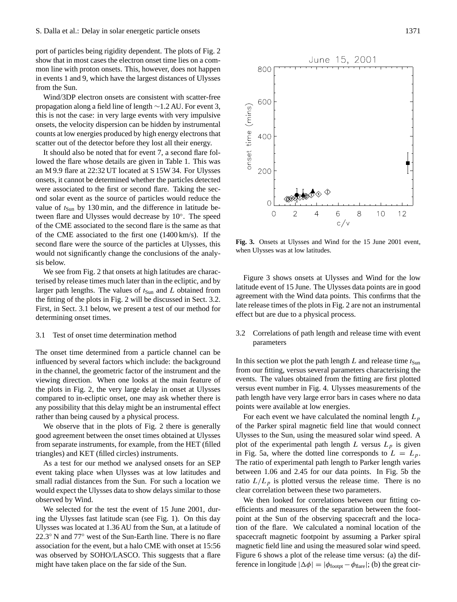port of particles being rigidity dependent. The plots of Fig. 2 show that in most cases the electron onset time lies on a common line with proton onsets. This, however, does not happen in events 1 and 9, which have the largest distances of Ulysses from the Sun.

Wind/3DP electron onsets are consistent with scatter-free propagation along a field line of length ∼1.2 AU. For event 3, this is not the case: in very large events with very impulsive onsets, the velocity dispersion can be hidden by instrumental counts at low energies produced by high energy electrons that scatter out of the detector before they lost all their energy.

It should also be noted that for event 7, a second flare followed the flare whose details are given in Table 1. This was an M 9.9 flare at 22:32 UT located at S 15W 34. For Ulysses onsets, it cannot be determined whether the particles detected were associated to the first or second flare. Taking the second solar event as the source of particles would reduce the value of  $t_{Sun}$  by 130 min, and the difference in latitude between flare and Ulysses would decrease by 10°. The speed of the CME associated to the second flare is the same as that of the CME associated to the first one (1400 km/s). If the second flare were the source of the particles at Ulysses, this would not significantly change the conclusions of the analysis below.

We see from Fig. 2 that onsets at high latitudes are characterised by release times much later than in the ecliptic, and by larger path lengths. The values of  $t_{Sun}$  and L obtained from the fitting of the plots in Fig. 2 will be discussed in Sect. 3.2. First, in Sect. 3.1 below, we present a test of our method for determining onset times.

#### 3.1 Test of onset time determination method

The onset time determined from a particle channel can be influenced by several factors which include: the background in the channel, the geometric factor of the instrument and the viewing direction. When one looks at the main feature of the plots in Fig. 2, the very large delay in onset at Ulysses compared to in-ecliptic onset, one may ask whether there is any possibility that this delay might be an instrumental effect rather than being caused by a physical process.

We observe that in the plots of Fig. 2 there is generally good agreement between the onset times obtained at Ulysses from separate instruments, for example, from the HET (filled triangles) and KET (filled circles) instruments.

As a test for our method we analysed onsets for an SEP event taking place when Ulysses was at low latitudes and small radial distances from the Sun. For such a location we would expect the Ulysses data to show delays similar to those observed by Wind.

We selected for the test the event of 15 June 2001, during the Ulysses fast latitude scan (see Fig. 1). On this day Ulysses was located at 1.36 AU from the Sun, at a latitude of 22.3<sup>°</sup> N and 77<sup>°</sup> west of the Sun-Earth line. There is no flare association for the event, but a halo CME with onset at 15:56 was observed by SOHO/LASCO. This suggests that a flare might have taken place on the far side of the Sun.



onset time (mins)

 $\circ$ 

 $\overline{2}$ 

**Fig. 3.** Onsets at Ulysses and Wind for the 15 June 2001 event, when Ulysses was at low latitudes.

 $\overline{\mathcal{A}}$ 

6

 $c/v$ 

8

 $10$ 

 $12$ 

Figure 3 shows onsets at Ulysses and Wind for the low latitude event of 15 June. The Ulysses data points are in good agreement with the Wind data points. This confirms that the late release times of the plots in Fig. 2 are not an instrumental effect but are due to a physical process.

## 3.2 Correlations of path length and release time with event parameters

In this section we plot the path length  $L$  and release time  $t_{Sun}$ from our fitting, versus several parameters characterising the events. The values obtained from the fitting are first plotted versus event number in Fig. 4. Ulysses measurements of the path length have very large error bars in cases where no data points were available at low energies.

For each event we have calculated the nominal length  $L_p$ of the Parker spiral magnetic field line that would connect Ulysses to the Sun, using the measured solar wind speed. A plot of the experimental path length L versus  $L_p$  is given in Fig. 5a, where the dotted line corresponds to  $L = L_p$ . The ratio of experimental path length to Parker length varies between 1.06 and 2.45 for our data points. In Fig. 5b the ratio  $L/L_p$  is plotted versus the release time. There is no clear correlation between these two parameters.

We then looked for correlations between our fitting coefficients and measures of the separation between the footpoint at the Sun of the observing spacecraft and the location of the flare. We calculated a nominal location of the spacecraft magnetic footpoint by assuming a Parker spiral magnetic field line and using the measured solar wind speed. Figure 6 shows a plot of the release time versus: (a) the difference in longitude  $|\Delta \phi| = |\phi_{\text{footpt}} - \phi_{\text{flare}}|$ ; (b) the great cir-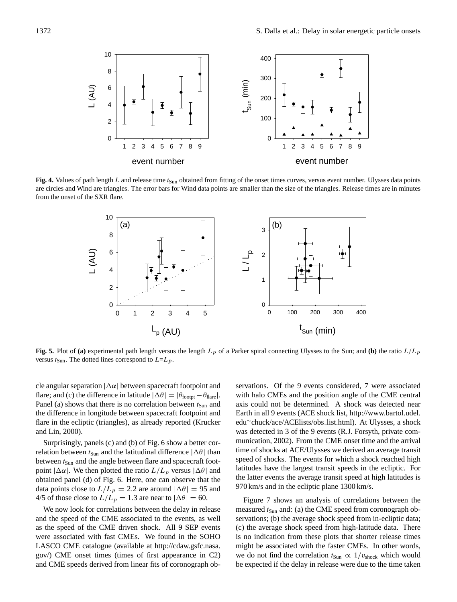

Fig. 4. Values of path length L and release time  $t_{\text{Sun}}$  obtained from fitting of the onset times curves, versus event number. Ulysses data points are circles and Wind are triangles. The error bars for Wind data points are smaller than the size of the triangles. Release times are in minutes from the onset of the SXR flare.



**Fig. 5.** Plot of (a) experimental path length versus the length  $L_p$  of a Parker spiral connecting Ulysses to the Sun; and (b) the ratio  $L/L_p$ versus  $t_{\text{Sun}}$ . The dotted lines correspond to  $L=L_p$ .

cle angular separation  $|\Delta \alpha|$  between spacecraft footpoint and flare; and (c) the difference in latitude  $|\Delta \theta| = |\theta_{\text{footpt}} - \theta_{\text{flare}}|$ . Panel (a) shows that there is no correlation between  $t_{Sun}$  and the difference in longitude between spacecraft footpoint and flare in the ecliptic (triangles), as already reported (Krucker and Lin, 2000).

Surprisingly, panels (c) and (b) of Fig. 6 show a better correlation between  $t_{Sun}$  and the latitudinal difference  $|\Delta\theta|$  than between  $t_{Sun}$  and the angle between flare and spacecraft footpoint  $|\Delta \alpha|$ . We then plotted the ratio  $L/L_p$  versus  $|\Delta \theta|$  and obtained panel (d) of Fig. 6. Here, one can observe that the data points close to  $L/L_p = 2.2$  are around  $|\Delta \theta| = 95$  and 4/5 of those close to  $L/L_p = 1.3$  are near to  $|\Delta \theta| = 60$ .

We now look for correlations between the delay in release and the speed of the CME associated to the events, as well as the speed of the CME driven shock. All 9 SEP events were associated with fast CMEs. We found in the SOHO LASCO CME catalogue (available at http://cdaw.gsfc.nasa. gov/) CME onset times (times of first appearance in C2) and CME speeds derived from linear fits of coronograph observations. Of the 9 events considered, 7 were associated with halo CMEs and the position angle of the CME central axis could not be determined. A shock was detected near Earth in all 9 events (ACE shock list, http://www.bartol.udel. edu∼chuck/ace/ACElists/obs list.html). At Ulysses, a shock was detected in 3 of the 9 events (R.J. Forsyth, private communication, 2002). From the CME onset time and the arrival time of shocks at ACE/Ulysses we derived an average transit speed of shocks. The events for which a shock reached high latitudes have the largest transit speeds in the ecliptic. For the latter events the average transit speed at high latitudes is 970 km/s and in the ecliptic plane 1300 km/s.

Figure 7 shows an analysis of correlations between the measured  $t_{Sun}$  and: (a) the CME speed from coronograph observations; (b) the average shock speed from in-ecliptic data; (c) the average shock speed from high-latitude data. There is no indication from these plots that shorter release times might be associated with the faster CMEs. In other words, we do not find the correlation  $t_{Sun} \propto 1/v_{shock}$  which would be expected if the delay in release were due to the time taken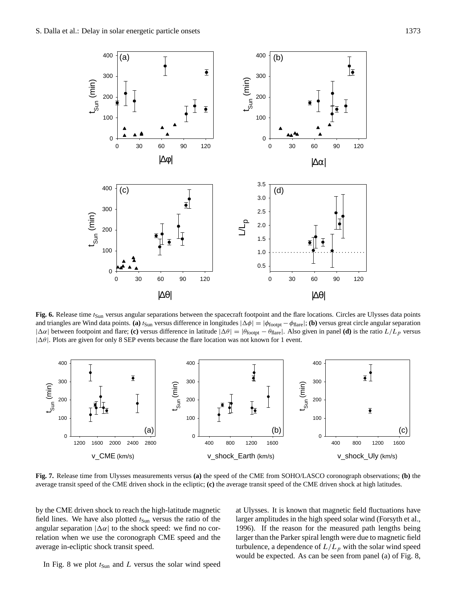

Fig. 6. Release time  $t_{\text{Sun}}$  versus angular separations between the spacecraft footpoint and the flare locations. Circles are Ulysses data points and triangles are Wind data points. **(a)**  $t_{\text{Sun}}$  versus difference in longitudes  $|\Delta \phi| = |\phi_{\text{foopt}} - \phi_{\text{flare}}|$ ; **(b)** versus great circle angular separation  $|\Delta \alpha|$  between footpoint and flare; **(c)** versus difference in latitude  $|\Delta \theta| = |\theta_{\text{footpt}} - \theta_{\text{flare}}|$ . Also given in panel **(d)** is the ratio  $L/L_p$  versus  $|\Delta\theta|$ . Plots are given for only 8 SEP events because the flare location was not known for 1 event.



**Fig. 7.** Release time from Ulysses measurements versus **(a)** the speed of the CME from SOHO/LASCO coronograph observations; **(b)** the average transit speed of the CME driven shock in the ecliptic; **(c)** the average transit speed of the CME driven shock at high latitudes.

by the CME driven shock to reach the high-latitude magnetic field lines. We have also plotted  $t_{Sun}$  versus the ratio of the angular separation  $|\Delta \alpha|$  to the shock speed: we find no correlation when we use the coronograph CME speed and the average in-ecliptic shock transit speed.

at Ulysses. It is known that magnetic field fluctuations have larger amplitudes in the high speed solar wind (Forsyth et al., 1996). If the reason for the measured path lengths being larger than the Parker spiral length were due to magnetic field turbulence, a dependence of  $L/L_p$  with the solar wind speed would be expected. As can be seen from panel (a) of Fig. 8,

In Fig. 8 we plot  $t_{Sun}$  and L versus the solar wind speed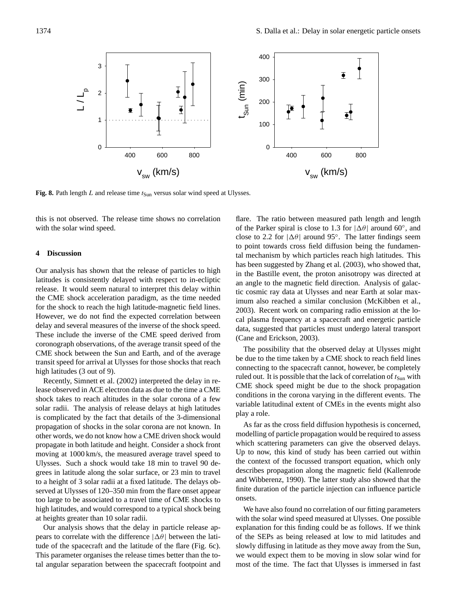

**Fig. 8.** Path length  $L$  and release time  $t_{Sun}$  versus solar wind speed at Ulysses.

this is not observed. The release time shows no correlation with the solar wind speed.

#### **4 Discussion**

Our analysis has shown that the release of particles to high latitudes is consistently delayed with respect to in-ecliptic release. It would seem natural to interpret this delay within the CME shock acceleration paradigm, as the time needed for the shock to reach the high latitude-magnetic field lines. However, we do not find the expected correlation between delay and several measures of the inverse of the shock speed. These include the inverse of the CME speed derived from coronograph observations, of the average transit speed of the CME shock between the Sun and Earth, and of the average transit speed for arrival at Ulysses for those shocks that reach high latitudes (3 out of 9).

Recently, Simnett et al. (2002) interpreted the delay in release observed in ACE electron data as due to the time a CME shock takes to reach altitudes in the solar corona of a few solar radii. The analysis of release delays at high latitudes is complicated by the fact that details of the 3-dimensional propagation of shocks in the solar corona are not known. In other words, we do not know how a CME driven shock would propagate in both latitude and height. Consider a shock front moving at 1000 km/s, the measured average travel speed to Ulysses. Such a shock would take 18 min to travel 90 degrees in latitude along the solar surface, or 23 min to travel to a height of 3 solar radii at a fixed latitude. The delays observed at Ulysses of 120–350 min from the flare onset appear too large to be associated to a travel time of CME shocks to high latitudes, and would correspond to a typical shock being at heights greater than 10 solar radii.

Our analysis shows that the delay in particle release appears to correlate with the difference  $|\Delta \theta|$  between the latitude of the spacecraft and the latitude of the flare (Fig. 6c). This parameter organises the release times better than the total angular separation between the spacecraft footpoint and

flare. The ratio between measured path length and length of the Parker spiral is close to 1.3 for  $|\Delta \theta|$  around 60°, and close to 2.2 for  $|\Delta \theta|$  around 95°. The latter findings seem to point towards cross field diffusion being the fundamental mechanism by which particles reach high latitudes. This has been suggested by Zhang et al. (2003), who showed that, in the Bastille event, the proton anisotropy was directed at an angle to the magnetic field direction. Analysis of galactic cosmic ray data at Ulysses and near Earth at solar maximum also reached a similar conclusion (McKibben et al., 2003). Recent work on comparing radio emission at the local plasma frequency at a spacecraft and energetic particle data, suggested that particles must undergo lateral transport (Cane and Erickson, 2003).

The possibility that the observed delay at Ulysses might be due to the time taken by a CME shock to reach field lines connecting to the spacecraft cannot, however, be completely ruled out. It is possible that the lack of correlation of  $t_{\text{Sun}}$  with CME shock speed might be due to the shock propagation conditions in the corona varying in the different events. The variable latitudinal extent of CMEs in the events might also play a role.

As far as the cross field diffusion hypothesis is concerned, modelling of particle propagation would be required to assess which scattering parameters can give the observed delays. Up to now, this kind of study has been carried out within the context of the focussed transport equation, which only describes propagation along the magnetic field (Kallenrode and Wibberenz, 1990). The latter study also showed that the finite duration of the particle injection can influence particle onsets.

We have also found no correlation of our fitting parameters with the solar wind speed measured at Ulysses. One possible explanation for this finding could be as follows. If we think of the SEPs as being released at low to mid latitudes and slowly diffusing in latitude as they move away from the Sun, we would expect them to be moving in slow solar wind for most of the time. The fact that Ulysses is immersed in fast